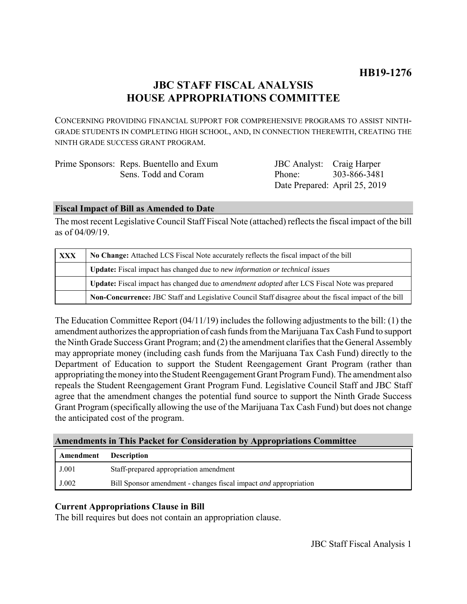# **JBC STAFF FISCAL ANALYSIS HOUSE APPROPRIATIONS COMMITTEE**

CONCERNING PROVIDING FINANCIAL SUPPORT FOR COMPREHENSIVE PROGRAMS TO ASSIST NINTH-GRADE STUDENTS IN COMPLETING HIGH SCHOOL, AND, IN CONNECTION THEREWITH, CREATING THE NINTH GRADE SUCCESS GRANT PROGRAM.

| Prime Sponsors: Reps. Buentello and Exum | <b>JBC</b> Analyst: Craig Harper |                               |
|------------------------------------------|----------------------------------|-------------------------------|
| Sens. Todd and Coram                     | Phone <sup>.</sup>               | 303-866-3481                  |
|                                          |                                  | Date Prepared: April 25, 2019 |

## **Fiscal Impact of Bill as Amended to Date**

The most recent Legislative Council Staff Fiscal Note (attached) reflects the fiscal impact of the bill as of 04/09/19.

| <b>XXX</b> | No Change: Attached LCS Fiscal Note accurately reflects the fiscal impact of the bill                 |  |
|------------|-------------------------------------------------------------------------------------------------------|--|
|            | <b>Update:</b> Fiscal impact has changed due to new information or technical issues                   |  |
|            | Update: Fiscal impact has changed due to <i>amendment adopted</i> after LCS Fiscal Note was prepared  |  |
|            | Non-Concurrence: JBC Staff and Legislative Council Staff disagree about the fiscal impact of the bill |  |

The Education Committee Report (04/11/19) includes the following adjustments to the bill: (1) the amendment authorizes the appropriation of cash funds from the Marijuana Tax Cash Fund to support the Ninth Grade Success Grant Program; and (2) the amendment clarifies that the General Assembly may appropriate money (including cash funds from the Marijuana Tax Cash Fund) directly to the Department of Education to support the Student Reengagement Grant Program (rather than appropriating the money into the Student Reengagement Grant Program Fund). The amendment also repeals the Student Reengagement Grant Program Fund. Legislative Council Staff and JBC Staff agree that the amendment changes the potential fund source to support the Ninth Grade Success Grant Program (specifically allowing the use of the Marijuana Tax Cash Fund) but does not change the anticipated cost of the program.

# **Amendments in This Packet for Consideration by Appropriations Committee**

| Amendment | <b>Description</b>                                                      |
|-----------|-------------------------------------------------------------------------|
| J.001     | Staff-prepared appropriation amendment                                  |
| J.002     | Bill Sponsor amendment - changes fiscal impact <i>and</i> appropriation |

# **Current Appropriations Clause in Bill**

The bill requires but does not contain an appropriation clause.